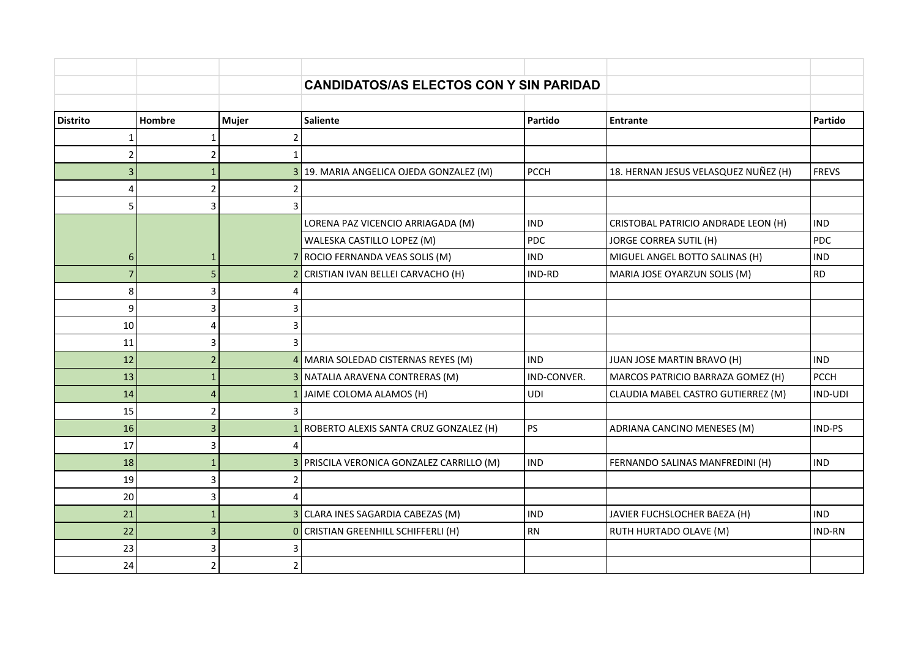|                 |                |                | <b>CANDIDATOS/AS ELECTOS CON Y SIN PARIDAD</b> |             |                                      |              |
|-----------------|----------------|----------------|------------------------------------------------|-------------|--------------------------------------|--------------|
| <b>Distrito</b> | Hombre         | Mujer          | <b>Saliente</b>                                | Partido     | <b>Entrante</b>                      | Partido      |
|                 |                | 2              |                                                |             |                                      |              |
| っ               |                | 1              |                                                |             |                                      |              |
| 3               |                |                | 3 19. MARIA ANGELICA OJEDA GONZALEZ (M)        | <b>PCCH</b> | 18. HERNAN JESUS VELASQUEZ NUÑEZ (H) | <b>FREVS</b> |
| 4               |                | 2              |                                                |             |                                      |              |
| 5               | 3              | 3              |                                                |             |                                      |              |
|                 |                |                | LORENA PAZ VICENCIO ARRIAGADA (M)              | IND         | CRISTOBAL PATRICIO ANDRADE LEON (H)  | <b>IND</b>   |
|                 |                |                | WALESKA CASTILLO LOPEZ (M)                     | PDC         | JORGE CORREA SUTIL (H)               | PDC          |
| 6               | 1              |                | 7 ROCIO FERNANDA VEAS SOLIS (M)                | <b>IND</b>  | MIGUEL ANGEL BOTTO SALINAS (H)       | <b>IND</b>   |
| $\overline{7}$  |                |                | 2 CRISTIAN IVAN BELLEI CARVACHO (H)            | IND-RD      | MARIA JOSE OYARZUN SOLIS (M)         | <b>RD</b>    |
| 8               | 3              | 4              |                                                |             |                                      |              |
| 9               | 3              | 3              |                                                |             |                                      |              |
| 10              | $\overline{4}$ | 3              |                                                |             |                                      |              |
| 11              | 3              | 3              |                                                |             |                                      |              |
| 12              | $\overline{2}$ |                | 4 MARIA SOLEDAD CISTERNAS REYES (M)            | <b>IND</b>  | JUAN JOSE MARTIN BRAVO (H)           | <b>IND</b>   |
| 13              |                |                | 3 NATALIA ARAVENA CONTRERAS (M)                | IND-CONVER. | MARCOS PATRICIO BARRAZA GOMEZ (H)    | <b>PCCH</b>  |
| 14              | 4              |                | 1 JAIME COLOMA ALAMOS (H)                      | <b>UDI</b>  | CLAUDIA MABEL CASTRO GUTIERREZ (M)   | IND-UDI      |
| 15              | $\overline{2}$ | 3              |                                                |             |                                      |              |
| 16              | $\overline{3}$ |                | 1 ROBERTO ALEXIS SANTA CRUZ GONZALEZ (H)       | PS          | ADRIANA CANCINO MENESES (M)          | IND-PS       |
| 17              | 3              | 4              |                                                |             |                                      |              |
| 18              | 1              |                | 3 PRISCILA VERONICA GONZALEZ CARRILLO (M)      | <b>IND</b>  | FERNANDO SALINAS MANFREDINI (H)      | <b>IND</b>   |
| 19              | 3              | 2              |                                                |             |                                      |              |
| 20              | 3              | 4              |                                                |             |                                      |              |
| 21              |                |                | 3 CLARA INES SAGARDIA CABEZAS (M)              | <b>IND</b>  | JAVIER FUCHSLOCHER BAEZA (H)         | <b>IND</b>   |
| 22              | 3              |                | 0 CRISTIAN GREENHILL SCHIFFERLI (H)            | <b>RN</b>   | RUTH HURTADO OLAVE (M)               | IND-RN       |
| 23              | 3              |                |                                                |             |                                      |              |
| 24              | $\overline{2}$ | $\overline{2}$ |                                                |             |                                      |              |